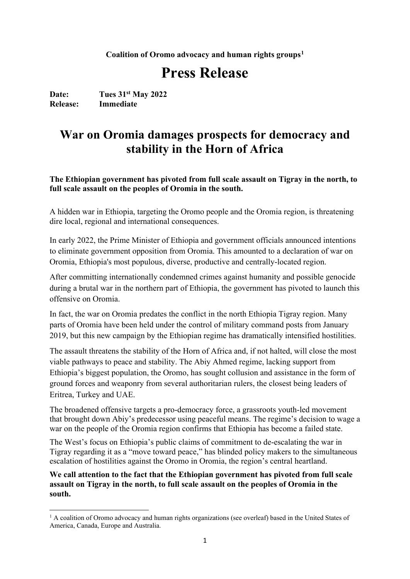**Coalition of Oromo advocacy and human rights groups[1](#page-0-0)**

# **Press Release**

Date: Tues 31<sup>st</sup> May 2022<br>Release: Immediate **Immediate** 

## **War on Oromia damages prospects for democracy and stability in the Horn of Africa**

**The Ethiopian government has pivoted from full scale assault on Tigray in the north, to full scale assault on the peoples of Oromia in the south.**

A hidden war in Ethiopia, targeting the Oromo people and the Oromia region, is threatening dire local, regional and international consequences.

In early 2022, the Prime Minister of Ethiopia and government officials announced intentions to eliminate government opposition from Oromia. This amounted to a declaration of war on Oromia, Ethiopia's most populous, diverse, productive and centrally-located region.

After committing internationally condemned crimes against humanity and possible genocide during a brutal war in the northern part of Ethiopia, the government has pivoted to launch this offensive on Oromia.

In fact, the war on Oromia predates the conflict in the north Ethiopia Tigray region. Many parts of Oromia have been held under the control of military command posts from January 2019, but this new campaign by the Ethiopian regime has dramatically intensified hostilities.

The assault threatens the stability of the Horn of Africa and, if not halted, will close the most viable pathways to peace and stability. The Abiy Ahmed regime, lacking support from Ethiopia's biggest population, the Oromo, has sought collusion and assistance in the form of ground forces and weaponry from several authoritarian rulers, the closest being leaders of Eritrea, Turkey and UAE.

The broadened offensive targets a pro-democracy force, a grassroots youth-led movement that brought down Abiy's predecessor using peaceful means. The regime's decision to wage a war on the people of the Oromia region confirms that Ethiopia has become a failed state.

The West's focus on Ethiopia's public claims of commitment to de-escalating the war in Tigray regarding it as a "move toward peace," has blinded policy makers to the simultaneous escalation of hostilities against the Oromo in Oromia, the region's central heartland.

**We call attention to the fact that the Ethiopian government has pivoted from full scale assault on Tigray in the north, to full scale assault on the peoples of Oromia in the south.**

<span id="page-0-0"></span><sup>&</sup>lt;sup>1</sup> A coalition of Oromo advocacy and human rights organizations (see overleaf) based in the United States of America, Canada, Europe and Australia.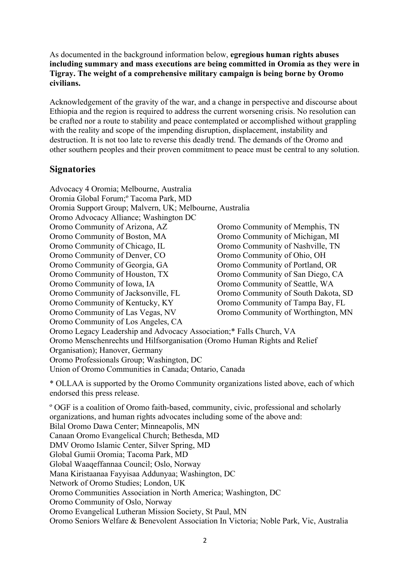As documented in the background information below, **egregious human rights abuses including summary and mass executions are being committed in Oromia as they were in Tigray. The weight of a comprehensive military campaign is being borne by Oromo civilians.**

Acknowledgement of the gravity of the war, and a change in perspective and discourse about Ethiopia and the region is required to address the current worsening crisis. No resolution can be crafted nor a route to stability and peace contemplated or accomplished without grappling with the reality and scope of the impending disruption, displacement, instability and destruction. It is not too late to reverse this deadly trend. The demands of the Oromo and other southern peoples and their proven commitment to peace must be central to any solution.

#### **Signatories**

Advocacy 4 Oromia; Melbourne, Australia Oromia Global Forum;º Tacoma Park, MD Oromia Support Group; Malvern, UK; Melbourne, Australia Oromo Advocacy Alliance; Washington DC Oromo Community of Arizona, AZ Oromo Community of Boston, MA Oromo Community of Chicago, IL Oromo Community of Denver, CO Oromo Community of Georgia, GA Oromo Community of Houston, TX Oromo Community of Iowa, IA Oromo Community of Jacksonville, FL Oromo Community of Kentucky, KY Oromo Community of Las Vegas, NV Oromo Community of Los Angeles, CA Oromo Community of Memphis, TN Oromo Community of Michigan, MI Oromo Community of Nashville, TN Oromo Community of Ohio, OH Oromo Community of Portland, OR Oromo Community of San Diego, CA Oromo Community of Seattle, WA Oromo Community of South Dakota, SD Oromo Community of Tampa Bay, FL Oromo Community of Worthington, MN Oromo Legacy Leadership and Advocacy Association;\* Falls Church, VA Oromo Menschenrechts und Hilfsorganisation (Oromo Human Rights and Relief Organisation); Hanover, Germany Oromo Professionals Group; Washington, DC Union of Oromo Communities in Canada; Ontario, Canada \* OLLAA is supported by the Oromo Community organizations listed above, each of which endorsed this press release. º OGF is a coalition of Oromo faith-based, community, civic, professional and scholarly organizations, and human rights advocates including some of the above and: Bilal Oromo Dawa Center; Minneapolis, MN Canaan Oromo Evangelical Church; Bethesda, MD DMV Oromo Islamic Center, Silver Spring, MD Global Gumii Oromia; Tacoma Park, MD Global Waaqeffannaa Council; Oslo, Norway Mana Kiristaanaa Fayyisaa Addunyaa; Washington, DC Network of Oromo Studies; London, UK Oromo Communities Association in North America; Washington, DC Oromo Community of Oslo, Norway Oromo Evangelical Lutheran Mission Society, St Paul, MN Oromo Seniors Welfare & Benevolent Association In Victoria; Noble Park, Vic, Australia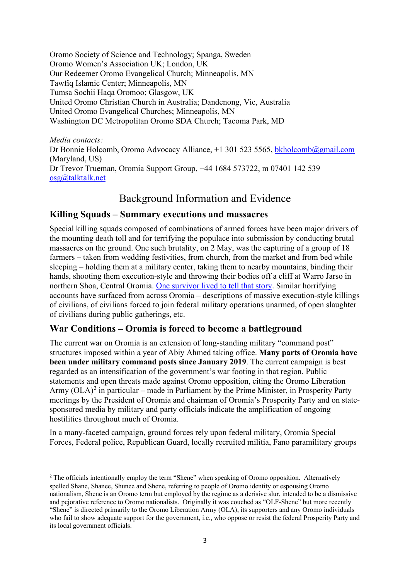Oromo Society of Science and Technology; Spanga, Sweden Oromo Women's Association UK; London, UK Our Redeemer Oromo Evangelical Church; Minneapolis, MN Tawfiq Islamic Center; Minneapolis, MN Tumsa Sochii Haqa Oromoo; Glasgow, UK United Oromo Christian Church in Australia; Dandenong, Vic, Australia United Oromo Evangelical Churches; Minneapolis, MN Washington DC Metropolitan Oromo SDA Church; Tacoma Park, MD

*Media contacts:* Dr Bonnie Holcomb, Oromo Advocacy Alliance, +1 301 523 5565, [bkholcomb@gmail.com](mailto:bkholcomb@gmail.com) (Maryland, US) Dr Trevor Trueman, Oromia Support Group, +44 1684 573722, m 07401 142 539 [osg@talktalk.net](mailto:osg@talktalk.net)

### Background Information and Evidence

#### **Killing Squads – Summary executions and massacres**

Special killing squads composed of combinations of armed forces have been major drivers of the mounting death toll and for terrifying the populace into submission by conducting brutal massacres on the ground. One such brutality, on 2 May, was the capturing of a group of 18 farmers – taken from wedding festivities, from church, from the market and from bed while sleeping – holding them at a military center, taking them to nearby mountains, binding their hands, shooting them execution-style and throwing their bodies off a cliff at Warro Jarso in northern Shoa, Central Oromia. [One survivor lived to tell that story.](https://oromiasupport.org/human-rights-2/) Similar horrifying accounts have surfaced from across Oromia – descriptions of massive execution-style killings of civilians, of civilians forced to join federal military operations unarmed, of open slaughter of civilians during public gatherings, etc.

#### **War Conditions – Oromia is forced to become a battleground**

The current war on Oromia is an extension of long-standing military "command post" structures imposed within a year of Abiy Ahmed taking office. **Many parts of Oromia have been under military command posts since January 2019**. The current campaign is best regarded as an intensification of the government's war footing in that region. Public statements and open threats made against Oromo opposition, citing the Oromo Liberation Army  $(OLA)^2$  $(OLA)^2$  in particular – made in Parliament by the Prime Minister, in Prosperity Party meetings by the President of Oromia and chairman of Oromia's Prosperity Party and on statesponsored media by military and party officials indicate the amplification of ongoing hostilities throughout much of Oromia.

In a many-faceted campaign, ground forces rely upon federal military, Oromia Special Forces, Federal police, Republican Guard, locally recruited militia, Fano paramilitary groups

<span id="page-2-0"></span><sup>&</sup>lt;sup>2</sup> The officials intentionally employ the term "Shene" when speaking of Oromo opposition. Alternatively spelled Shane, Shanee, Shunee and Shene, referring to people of Oromo identity or espousing Oromo nationalism, Shene is an Oromo term but employed by the regime as a derisive slur, intended to be a dismissive and pejorative reference to Oromo nationalists. Originally it was couched as "OLF-Shene" but more recently "Shene" is directed primarily to the Oromo Liberation Army (OLA), its supporters and any Oromo individuals who fail to show adequate support for the government, i.e., who oppose or resist the federal Prosperity Party and its local government officials.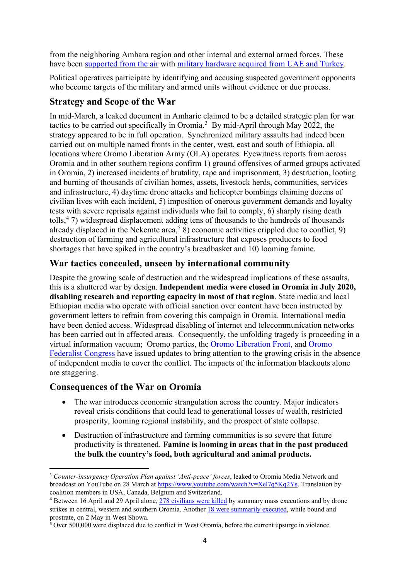from the neighboring Amhara region and other internal and external armed forces. These have been [supported from the air](https://www.facebook.com/146634408702997/posts/5535907229775661/?sfnsn=mo) with [military hardware acquired from UAE and Turkey.](https://www.oryxspioenkop.com/2022/01/drone-warfare-turns-hot-over-ethiopias.html)

Political operatives participate by identifying and accusing suspected government opponents who become targets of the military and armed units without evidence or due process.

#### **Strategy and Scope of the War**

In mid-March, a leaked document in Amharic claimed to be a detailed strategic plan for war tactics to be carried out specifically in Oromia. [3](#page-3-0) By mid-April through May 2022, the strategy appeared to be in full operation. Synchronized military assaults had indeed been carried out on multiple named fronts in the center, west, east and south of Ethiopia, all locations where Oromo Liberation Army (OLA) operates. Eyewitness reports from across Oromia and in other southern regions confirm 1) ground offensives of armed groups activated in Oromia, 2) increased incidents of brutality, rape and imprisonment, 3) destruction, looting and burning of thousands of civilian homes, assets, livestock herds, communities, services and infrastructure, 4) daytime drone attacks and helicopter bombings claiming dozens of civilian lives with each incident, 5) imposition of onerous government demands and loyalty tests with severe reprisals against individuals who fail to comply, 6) sharply rising death tolls, [4](#page-3-1) 7) widespread displacement adding tens of thousands to the hundreds of thousands already displaced in the Nekemte area,<sup>[5](#page-3-2)</sup> 8) economic activities crippled due to conflict, 9) destruction of farming and agricultural infrastructure that exposes producers to food shortages that have spiked in the country's breadbasket and 10) looming famine.

#### **War tactics concealed, unseen by international community**

Despite the growing scale of destruction and the widespread implications of these assaults, this is a shuttered war by design. **Independent media were closed in Oromia in July 2020, disabling research and reporting capacity in most of that region**. State media and local Ethiopian media who operate with official sanction over content have been instructed by government letters to refrain from covering this campaign in Oromia. International media have been denied access. Widespread disabling of internet and telecommunication networks has been carried out in affected areas. Consequently, the unfolding tragedy is proceeding in a virtual information vacuum; Oromo parties, the [Oromo Liberation Front,](https://oromoliberationfront.org/english/the-oromo-liberation-front-statement-on-the-multi-dimensional-war-enacted-on-oromo-people-and-oromia-citizens-by-the-government-of-prosperity-party/) and [Oromo](https://addisstandard.com/news-ofc-says-political-failure-civil-war-and-economic-crisis-vicious-circle-haunting-ethiopia-calls-for-genuine-national-dialogue/)  [Federalist Congress](https://addisstandard.com/news-ofc-says-political-failure-civil-war-and-economic-crisis-vicious-circle-haunting-ethiopia-calls-for-genuine-national-dialogue/) have issued updates to bring attention to the growing crisis in the absence of independent media to cover the conflict. The impacts of the information blackouts alone are staggering.

#### **Consequences of the War on Oromia**

- The war introduces economic strangulation across the country. Major indicators reveal crisis conditions that could lead to generational losses of wealth, restricted prosperity, looming regional instability, and the prospect of state collapse.
- Destruction of infrastructure and farming communities is so severe that future productivity is threatened. **Famine is looming in areas that in the past produced the bulk the country's food, both agricultural and animal products.**

<span id="page-3-0"></span><sup>3</sup> *Counter-insurgency Operation Plan against 'Anti-peace' forces*, leaked to Oromia Media Network and broadcast on YouTube on 28 March at [https://www.youtube.com/watch?v=Xel7q5Kq2Ys.](https://www.youtube.com/watch?v=Xel7q5Kq2Ys) Translation by coalition members in USA, Canada, Belgium and Switzerland.

<span id="page-3-1"></span><sup>4</sup> Between 16 April and 29 April alone, [278 civilians were killed](https://www.facebook.com/OromoFederalistCongressParty/posts/537671634612813) by summary mass executions and by drone strikes in central, western and southern Oromia. Another [18 were summarily executed,](https://addisstandard.com/analysis-civilians-target-of-summary-executions-aerial-strikes-in-oromia-as-govt-intensifies-military-operations/) while bound and prostrate, on 2 May in West Showa.

<span id="page-3-2"></span> $\frac{5}{5}$  Over 500,000 were displaced due to conflict in West Oromia, before the current upsurge in violence.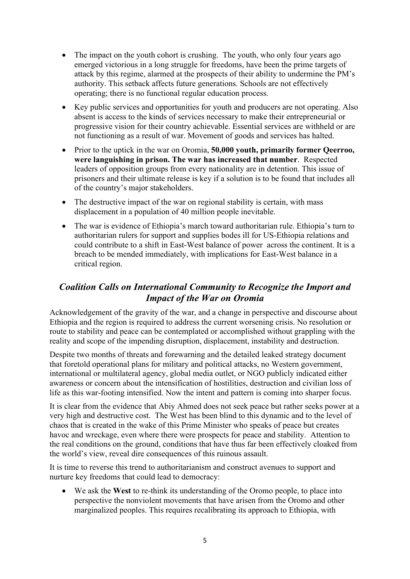- The impact on the youth cohort is crushing. The youth, who only four years ago emerged victorious in a long struggle for freedoms, have been the prime targets of attack by this regime, alarmed at the prospects of their ability to undermine the PM's authority. This setback affects future generations. Schools are not effectively operating; there is no functional regular education process.
- Key public services and opportunities for youth and producers are not operating. Also absent is access to the kinds of services necessary to make their entrepreneurial or progressive vision for their country achievable. Essential services are withheld or are not functioning as a result of war. Movement of goods and services has halted.
- Prior to the uptick in the war on Oromia, **50,000 youth, primarily former Qeerroo, were languishing in prison. The war has increased that number**. Respected leaders of opposition groups from every nationality are in detention. This issue of prisoners and their ultimate release is key if a solution is to be found that includes all of the country's major stakeholders.
- The destructive impact of the war on regional stability is certain, with mass displacement in a population of 40 million people inevitable.
- The war is evidence of Ethiopia's march toward authoritarian rule. Ethiopia's turn to authoritarian rulers for support and supplies bodes ill for US-Ethiopia relations and could contribute to a shift in East-West balance of power across the continent. It is a breach to be mended immediately, with implications for East-West balance in a critical region.

#### *Coalition Calls on International Community to Recognize the Import and Impact of the War on Oromia*

Acknowledgement of the gravity of the war, and a change in perspective and discourse about Ethiopia and the region is required to address the current worsening crisis. No resolution or route to stability and peace can be contemplated or accomplished without grappling with the reality and scope of the impending disruption, displacement, instability and destruction.

Despite two months of threats and forewarning and the detailed leaked strategy document that foretold operational plans for military and political attacks, no Western government, international or multilateral agency, global media outlet, or NGO publicly indicated either awareness or concern about the intensification of hostilities, destruction and civilian loss of life as this war-footing intensified. Now the intent and pattern is coming into sharper focus.

It is clear from the evidence that Abiy Ahmed does not seek peace but rather seeks power at a very high and destructive cost. The West has been blind to this dynamic and to the level of chaos that is created in the wake of this Prime Minister who speaks of peace but creates havoc and wreckage, even where there were prospects for peace and stability. Attention to the real conditions on the ground, conditions that have thus far been effectively cloaked from the world's view, reveal dire consequences of this ruinous assault.

It is time to reverse this trend to authoritarianism and construct avenues to support and nurture key freedoms that could lead to democracy:

• We ask the **West** to re-think its understanding of the Oromo people, to place into perspective the nonviolent movements that have arisen from the Oromo and other marginalized peoples. This requires recalibrating its approach to Ethiopia, with